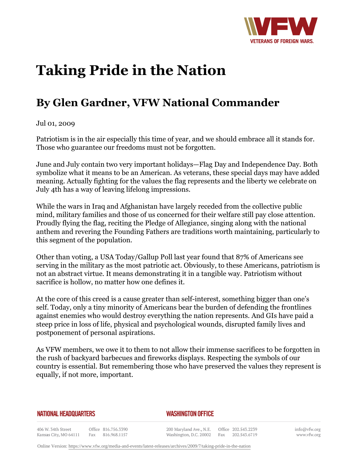

## **Taking Pride in the Nation**

## **By Glen Gardner, VFW National Commander**

Jul 01, 2009

Patriotism is in the air especially this time of year, and we should embrace all it stands for. Those who guarantee our freedoms must not be forgotten.

June and July contain two very important holidays—Flag Day and Independence Day. Both symbolize what it means to be an American. As veterans, these special days may have added meaning. Actually fighting for the values the flag represents and the liberty we celebrate on July 4th has a way of leaving lifelong impressions.

While the wars in Iraq and Afghanistan have largely receded from the collective public mind, military families and those of us concerned for their welfare still pay close attention. Proudly flying the flag, reciting the Pledge of Allegiance, singing along with the national anthem and revering the Founding Fathers are traditions worth maintaining, particularly to this segment of the population.

Other than voting, a USA Today/Gallup Poll last year found that 87% of Americans see serving in the military as the most patriotic act. Obviously, to these Americans, patriotism is not an abstract virtue. It means demonstrating it in a tangible way. Patriotism without sacrifice is hollow, no matter how one defines it.

At the core of this creed is a cause greater than self-interest, something bigger than one's self. Today, only a tiny minority of Americans bear the burden of defending the frontlines against enemies who would destroy everything the nation represents. And GIs have paid a steep price in loss of life, physical and psychological wounds, disrupted family lives and postponement of personal aspirations.

As VFW members, we owe it to them to not allow their immense sacrifices to be forgotten in the rush of backyard barbecues and fireworks displays. Respecting the symbols of our country is essential. But remembering those who have preserved the values they represent is equally, if not more, important.

## **NATIONAL HEADQUARTERS**

## *WASHINGTON OFFICE*

406 W. 34th Street Office 816.756.3390 Kansas City, MO 64111 Fax 816.968.1157

200 Maryland Ave., N.E. Washington, D.C. 20002

Office 202.543.2239 Fax 202.543.6719